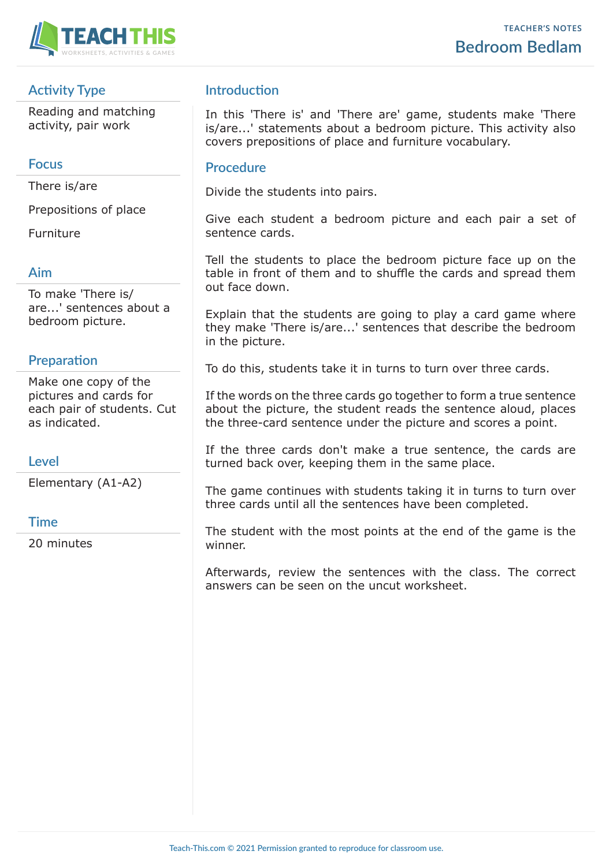

# **Activity Type**

Reading and matching activity, pair work

#### **Focus**

There is/are

Prepositions of place

Furniture

## **Aim**

To make 'There is/ are...' sentences about a bedroom picture.

## **Preparation**

Make one copy of the pictures and cards for each pair of students. Cut as indicated.

## **Level**

Elementary (A1-A2)

## **Time**

20 minutes

# **Introduction**

In this 'There is' and 'There are' game, students make 'There is/are...' statements about a bedroom picture. This activity also covers prepositions of place and furniture vocabulary.

#### **Procedure**

Divide the students into pairs.

Give each student a bedroom picture and each pair a set of sentence cards.

Tell the students to place the bedroom picture face up on the table in front of them and to shuffle the cards and spread them out face down.

Explain that the students are going to play a card game where they make 'There is/are...' sentences that describe the bedroom in the picture.

To do this, students take it in turns to turn over three cards.

If the words on the three cards go together to form a true sentence about the picture, the student reads the sentence aloud, places the three-card sentence under the picture and scores a point.

If the three cards don't make a true sentence, the cards are turned back over, keeping them in the same place.

The game continues with students taking it in turns to turn over three cards until all the sentences have been completed.

The student with the most points at the end of the game is the winner.

Afterwards, review the sentences with the class. The correct answers can be seen on the uncut worksheet.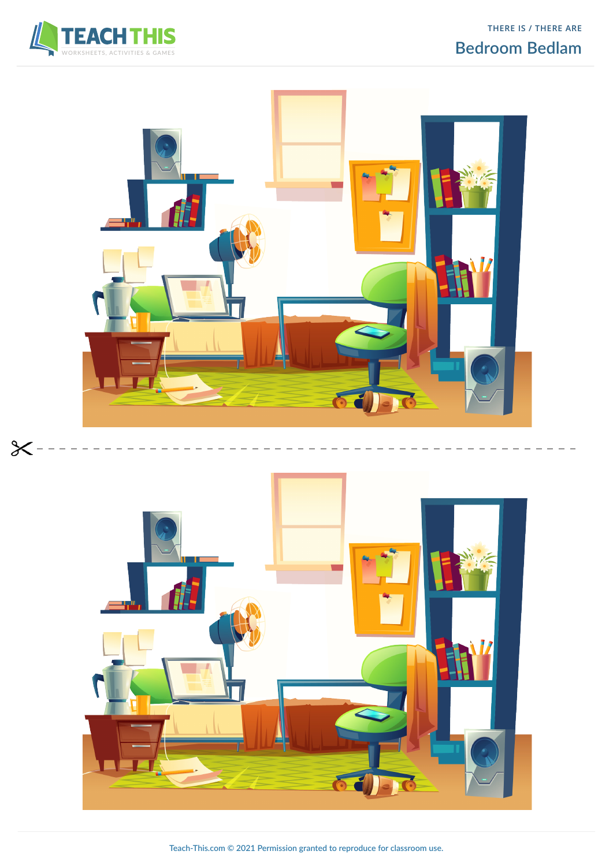



 $\chi$ 





**Teach-This.com © 2021 Permission granted to reproduce for classroom use.**